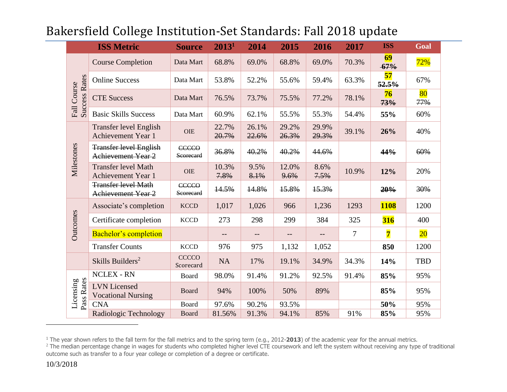|                                        | <b>ISS Metric</b>                                       | <b>Source</b>             | 2013 <sup>1</sup> | 2014                     | 2015           | 2016           | 2017           | <b>ISS</b>              | Goal       |
|----------------------------------------|---------------------------------------------------------|---------------------------|-------------------|--------------------------|----------------|----------------|----------------|-------------------------|------------|
| <b>Success Rates</b><br>Course<br>Fall | <b>Course Completion</b>                                | Data Mart                 | 68.8%             | 69.0%                    | 68.8%          | 69.0%          | 70.3%          | 69<br>$-67%$            | 72%        |
|                                        | <b>Online Success</b>                                   | Data Mart                 | 53.8%             | 52.2%                    | 55.6%          | 59.4%          | 63.3%          | 57<br>52.5%             | 67%        |
|                                        | <b>CTE Success</b>                                      | Data Mart                 | 76.5%             | 73.7%                    | 75.5%          | 77.2%          | 78.1%          | 76<br>73%               | 80<br>77%  |
|                                        | <b>Basic Skills Success</b>                             | Data Mart                 | 60.9%             | 62.1%                    | 55.5%          | 55.3%          | 54.4%          | 55%                     | 60%        |
| Milestones                             | Transfer level English<br><b>Achievement Year 1</b>     | <b>OIE</b>                | 22.7%<br>20.7%    | 26.1%<br>22.6%           | 29.2%<br>26.3% | 29.9%<br>29.3% | 39.1%          | 26%                     | 40%        |
|                                        | <b>Transfer level English</b><br>Achievement Year 2     | <b>CCCCO</b><br>Seorecard | 36.8%             | 40.2%                    | 40.2%          | 44.6%          |                | 44%                     | 60%        |
|                                        | <b>Transfer level Math</b><br><b>Achievement Year 1</b> | <b>OIE</b>                | 10.3%<br>7.8%     | 9.5%<br>8.1%             | 12.0%<br>9.6%  | 8.6%<br>7.5%   | 10.9%          | 12%                     | 20%        |
|                                        | <b>Transfer level Math</b><br>Achievement Year 2        | <b>CCCCO</b><br>Seorecard | 14.5%             | 14.8%                    | 15.8%          | 15.3%          |                | 20%                     | 30%        |
| Outcomes                               | Associate's completion                                  | <b>KCCD</b>               | 1,017             | 1,026                    | 966            | 1,236          | 1293           | <b>1108</b>             | 1200       |
|                                        | Certificate completion                                  | <b>KCCD</b>               | 273               | 298                      | 299            | 384            | 325            | <b>316</b>              | 400        |
|                                        | Bachelor's completion                                   |                           | $\qquad \qquad -$ | $\overline{\phantom{m}}$ |                |                | $\overline{7}$ | $\overline{\mathbf{7}}$ | $20\,$     |
|                                        | <b>Transfer Counts</b>                                  | <b>KCCD</b>               | 976               | 975                      | 1,132          | 1,052          |                | 850                     | 1200       |
|                                        | Skills Builders <sup>2</sup>                            | <b>CCCCO</b><br>Scorecard | <b>NA</b>         | 17%                      | 19.1%          | 34.9%          | 34.3%          | 14%                     | <b>TBD</b> |
| Pass Rates<br>Licensing                | <b>NCLEX - RN</b>                                       | Board                     | 98.0%             | 91.4%                    | 91.2%          | 92.5%          | 91.4%          | 85%                     | 95%        |
|                                        | <b>LVN</b> Licensed<br><b>Vocational Nursing</b>        | <b>Board</b>              | 94%               | 100%                     | 50%            | 89%            |                | 85%                     | 95%        |
|                                        | <b>CNA</b>                                              | Board                     | 97.6%             | 90.2%                    | 93.5%          |                |                | 50%                     | 95%        |
|                                        | Radiologic Technology                                   | <b>Board</b>              | 81.56%            | 91.3%                    | 94.1%          | 85%            | 91%            | 85%                     | 95%        |

### Bakersfield College Institution-Set Standards: Fall 2018 update

 $\overline{a}$ 

<sup>1</sup> The year shown refers to the fall term for the fall metrics and to the spring term (e.g., 2012-**2013**) of the academic year for the annual metrics.

 $^2$  The median percentage change in wages for students who completed higher level CTE coursework and left the system without receiving any type of traditional outcome such as transfer to a four year college or completion of a degree or certificate.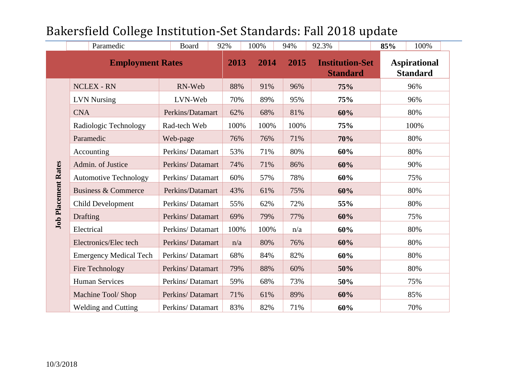|                            | Paramedic                      | Board            | 92%          | 100% | 94%                                               | 92.3% | 100%<br>85%                            |  |
|----------------------------|--------------------------------|------------------|--------------|------|---------------------------------------------------|-------|----------------------------------------|--|
| <b>Employment Rates</b>    |                                |                  | 2013<br>2014 |      | 2015<br><b>Institution-Set</b><br><b>Standard</b> |       | <b>Aspirational</b><br><b>Standard</b> |  |
|                            | <b>NCLEX - RN</b>              | RN-Web           | 88%          | 91%  | 96%                                               | 75%   | 96%                                    |  |
| <b>Job Placement Rates</b> | <b>LVN Nursing</b>             | LVN-Web          | 70%          | 89%  | 95%                                               | 75%   | 96%                                    |  |
|                            | <b>CNA</b>                     | Perkins/Datamart | 62%          | 68%  | 81%                                               | 60%   | 80%                                    |  |
|                            | Radiologic Technology          | Rad-tech Web     | 100%         | 100% | 100%                                              | 75%   | 100%                                   |  |
|                            | Paramedic                      | Web-page         | 76%          | 76%  | 71%                                               | 70%   | 80%                                    |  |
|                            | Accounting                     | Perkins/Datamart | 53%          | 71%  | 80%                                               | 60%   | 80%                                    |  |
|                            | Admin. of Justice              | Perkins/Datamart | 74%          | 71%  | 86%                                               | 60%   | 90%                                    |  |
|                            | <b>Automotive Technology</b>   | Perkins/Datamart | 60%          | 57%  | 78%                                               | 60%   | 75%                                    |  |
|                            | <b>Business &amp; Commerce</b> | Perkins/Datamart | 43%          | 61%  | 75%                                               | 60%   | 80%                                    |  |
|                            | Child Development              | Perkins/Datamart | 55%          | 62%  | 72%                                               | 55%   | 80%                                    |  |
|                            | Drafting                       | Perkins/Datamart | 69%          | 79%  | 77%                                               | 60%   | 75%                                    |  |
|                            | Electrical                     | Perkins/Datamart | 100%         | 100% | n/a                                               | 60%   | 80%                                    |  |
|                            | Electronics/Elec tech          | Perkins/Datamart | n/a          | 80%  | 76%                                               | 60%   | 80%                                    |  |
|                            | <b>Emergency Medical Tech</b>  | Perkins/Datamart | 68%          | 84%  | 82%                                               | 60%   | 80%                                    |  |
|                            | Fire Technology                | Perkins/Datamart | 79%          | 88%  | 60%                                               | 50%   | 80%                                    |  |
|                            | <b>Human Services</b>          | Perkins/Datamart | 59%          | 68%  | 73%                                               | 50%   | 75%                                    |  |
|                            | Machine Tool/ Shop             | Perkins/Datamart | 71%          | 61%  | 89%                                               | 60%   | 85%                                    |  |
|                            | <b>Welding and Cutting</b>     | Perkins/Datamart | 83%          | 82%  | 71%                                               | 60%   | 70%                                    |  |

# Bakersfield College Institution-Set Standards: Fall 2018 update